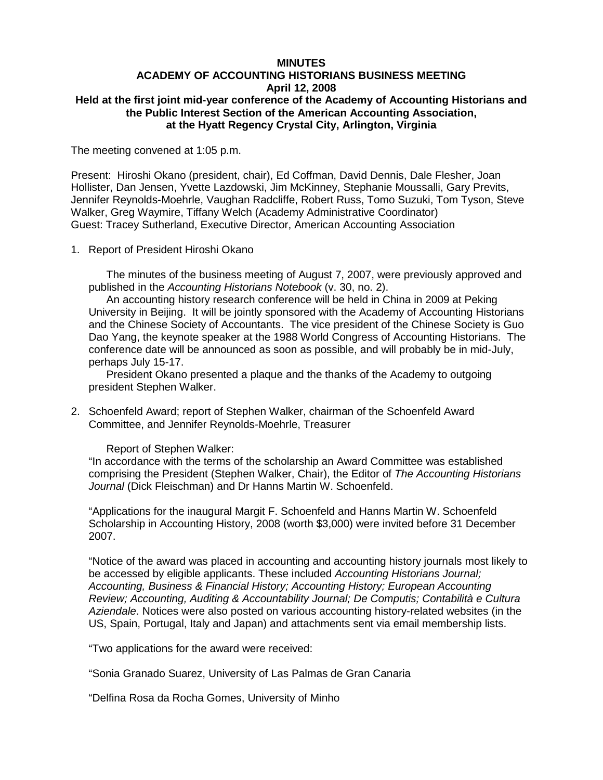## **MINUTES ACADEMY OF ACCOUNTING HISTORIANS BUSINESS MEETING April 12, 2008 Held at the first joint mid-year conference of the Academy of Accounting Historians and the Public Interest Section of the American Accounting Association, at the Hyatt Regency Crystal City, Arlington, Virginia**

The meeting convened at 1:05 p.m.

Present: Hiroshi Okano (president, chair), Ed Coffman, David Dennis, Dale Flesher, Joan Hollister, Dan Jensen, Yvette Lazdowski, Jim McKinney, Stephanie Moussalli, Gary Previts, Jennifer Reynolds-Moehrle, Vaughan Radcliffe, Robert Russ, Tomo Suzuki, Tom Tyson, Steve Walker, Greg Waymire, Tiffany Welch (Academy Administrative Coordinator) Guest: Tracey Sutherland, Executive Director, American Accounting Association

1. Report of President Hiroshi Okano

The minutes of the business meeting of August 7, 2007, were previously approved and published in the *Accounting Historians Notebook* (v. 30, no. 2).

An accounting history research conference will be held in China in 2009 at Peking University in Beijing. It will be jointly sponsored with the Academy of Accounting Historians and the Chinese Society of Accountants. The vice president of the Chinese Society is Guo Dao Yang, the keynote speaker at the 1988 World Congress of Accounting Historians. The conference date will be announced as soon as possible, and will probably be in mid-July, perhaps July 15-17.

President Okano presented a plaque and the thanks of the Academy to outgoing president Stephen Walker.

2. Schoenfeld Award; report of Stephen Walker, chairman of the Schoenfeld Award Committee, and Jennifer Reynolds-Moehrle, Treasurer

Report of Stephen Walker:

"In accordance with the terms of the scholarship an Award Committee was established comprising the President (Stephen Walker, Chair), the Editor of *The Accounting Historians Journal* (Dick Fleischman) and Dr Hanns Martin W. Schoenfeld.

"Applications for the inaugural Margit F. Schoenfeld and Hanns Martin W. Schoenfeld Scholarship in Accounting History, 2008 (worth \$3,000) were invited before 31 December 2007.

"Notice of the award was placed in accounting and accounting history journals most likely to be accessed by eligible applicants. These included *Accounting Historians Journal; Accounting, Business & Financial History; Accounting History; European Accounting Review; Accounting, Auditing & Accountability Journal; De Computis; Contabilità e Cultura Aziendale*. Notices were also posted on various accounting history-related websites (in the US, Spain, Portugal, Italy and Japan) and attachments sent via email membership lists.

"Two applications for the award were received:

"Sonia Granado Suarez, University of Las Palmas de Gran Canaria

"Delfina Rosa da Rocha Gomes, University of Minho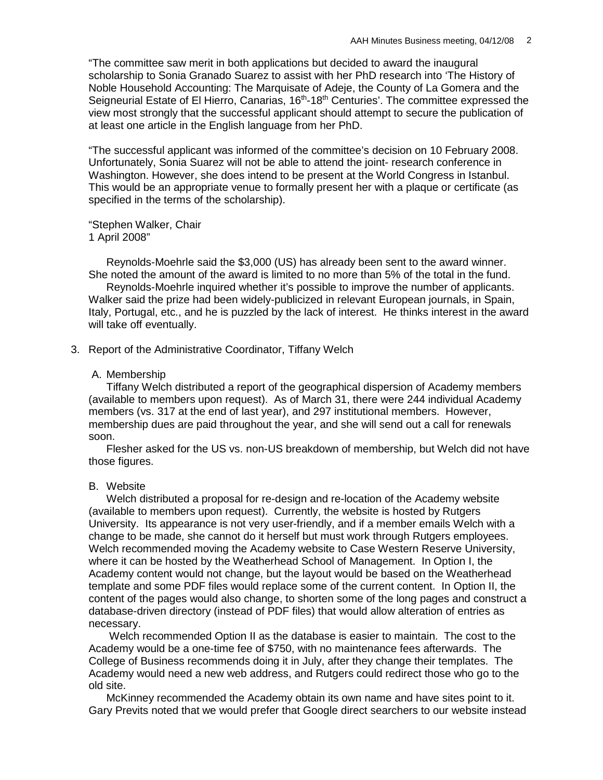"The committee saw merit in both applications but decided to award the inaugural scholarship to Sonia Granado Suarez to assist with her PhD research into 'The History of Noble Household Accounting: The Marquisate of Adeje, the County of La Gomera and the Seigneurial Estate of El Hierro, Canarias, 16<sup>th</sup>-18<sup>th</sup> Centuries'. The committee expressed the view most strongly that the successful applicant should attempt to secure the publication of at least one article in the English language from her PhD.

"The successful applicant was informed of the committee's decision on 10 February 2008. Unfortunately, Sonia Suarez will not be able to attend the joint- research conference in Washington. However, she does intend to be present at the World Congress in Istanbul. This would be an appropriate venue to formally present her with a plaque or certificate (as specified in the terms of the scholarship).

"Stephen Walker, Chair 1 April 2008"

 Reynolds-Moehrle said the \$3,000 (US) has already been sent to the award winner. She noted the amount of the award is limited to no more than 5% of the total in the fund.

Reynolds-Moehrle inquired whether it's possible to improve the number of applicants. Walker said the prize had been widely-publicized in relevant European journals, in Spain, Italy, Portugal, etc., and he is puzzled by the lack of interest. He thinks interest in the award will take off eventually.

3. Report of the Administrative Coordinator, Tiffany Welch

# A. Membership

Tiffany Welch distributed a report of the geographical dispersion of Academy members (available to members upon request). As of March 31, there were 244 individual Academy members (vs. 317 at the end of last year), and 297 institutional members. However, membership dues are paid throughout the year, and she will send out a call for renewals soon.

Flesher asked for the US vs. non-US breakdown of membership, but Welch did not have those figures.

## B. Website

Welch distributed a proposal for re-design and re-location of the Academy website (available to members upon request). Currently, the website is hosted by Rutgers University. Its appearance is not very user-friendly, and if a member emails Welch with a change to be made, she cannot do it herself but must work through Rutgers employees. Welch recommended moving the Academy website to Case Western Reserve University, where it can be hosted by the Weatherhead School of Management. In Option I, the Academy content would not change, but the layout would be based on the Weatherhead template and some PDF files would replace some of the current content. In Option II, the content of the pages would also change, to shorten some of the long pages and construct a database-driven directory (instead of PDF files) that would allow alteration of entries as necessary.

Welch recommended Option II as the database is easier to maintain. The cost to the Academy would be a one-time fee of \$750, with no maintenance fees afterwards. The College of Business recommends doing it in July, after they change their templates. The Academy would need a new web address, and Rutgers could redirect those who go to the old site.

McKinney recommended the Academy obtain its own name and have sites point to it. Gary Previts noted that we would prefer that Google direct searchers to our website instead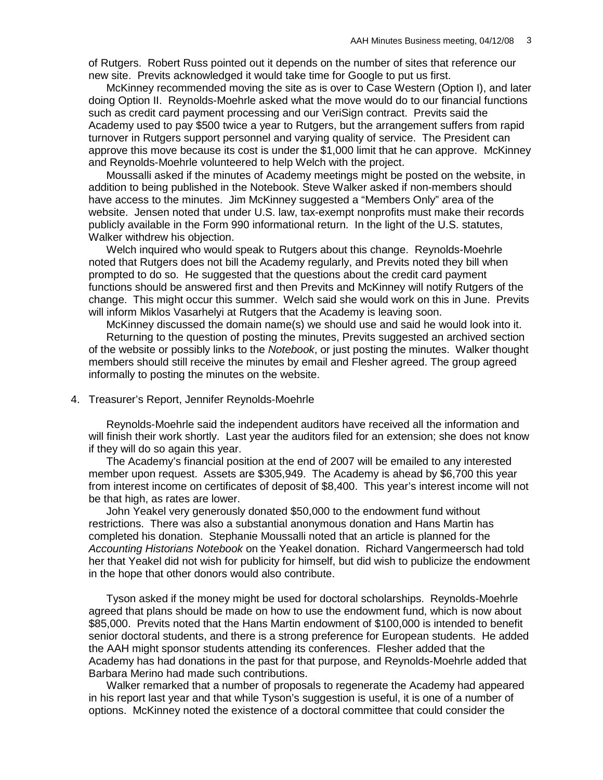of Rutgers. Robert Russ pointed out it depends on the number of sites that reference our new site. Previts acknowledged it would take time for Google to put us first.

McKinney recommended moving the site as is over to Case Western (Option I), and later doing Option II. Reynolds-Moehrle asked what the move would do to our financial functions such as credit card payment processing and our VeriSign contract. Previts said the Academy used to pay \$500 twice a year to Rutgers, but the arrangement suffers from rapid turnover in Rutgers support personnel and varying quality of service. The President can approve this move because its cost is under the \$1,000 limit that he can approve. McKinney and Reynolds-Moehrle volunteered to help Welch with the project.

Moussalli asked if the minutes of Academy meetings might be posted on the website, in addition to being published in the Notebook. Steve Walker asked if non-members should have access to the minutes. Jim McKinney suggested a "Members Only" area of the website. Jensen noted that under U.S. law, tax-exempt nonprofits must make their records publicly available in the Form 990 informational return. In the light of the U.S. statutes, Walker withdrew his objection.

Welch inquired who would speak to Rutgers about this change. Reynolds-Moehrle noted that Rutgers does not bill the Academy regularly, and Previts noted they bill when prompted to do so. He suggested that the questions about the credit card payment functions should be answered first and then Previts and McKinney will notify Rutgers of the change. This might occur this summer. Welch said she would work on this in June. Previts will inform Miklos Vasarhelyi at Rutgers that the Academy is leaving soon.

McKinney discussed the domain name(s) we should use and said he would look into it. Returning to the question of posting the minutes, Previts suggested an archived section of the website or possibly links to the *Notebook*, or just posting the minutes. Walker thought members should still receive the minutes by email and Flesher agreed. The group agreed informally to posting the minutes on the website.

4. Treasurer's Report, Jennifer Reynolds-Moehrle

Reynolds-Moehrle said the independent auditors have received all the information and will finish their work shortly. Last year the auditors filed for an extension; she does not know if they will do so again this year.

The Academy's financial position at the end of 2007 will be emailed to any interested member upon request. Assets are \$305,949. The Academy is ahead by \$6,700 this year from interest income on certificates of deposit of \$8,400. This year's interest income will not be that high, as rates are lower.

John Yeakel very generously donated \$50,000 to the endowment fund without restrictions. There was also a substantial anonymous donation and Hans Martin has completed his donation. Stephanie Moussalli noted that an article is planned for the *Accounting Historians Notebook* on the Yeakel donation. Richard Vangermeersch had told her that Yeakel did not wish for publicity for himself, but did wish to publicize the endowment in the hope that other donors would also contribute.

Tyson asked if the money might be used for doctoral scholarships. Reynolds-Moehrle agreed that plans should be made on how to use the endowment fund, which is now about \$85,000. Previts noted that the Hans Martin endowment of \$100,000 is intended to benefit senior doctoral students, and there is a strong preference for European students. He added the AAH might sponsor students attending its conferences. Flesher added that the Academy has had donations in the past for that purpose, and Reynolds-Moehrle added that Barbara Merino had made such contributions.

Walker remarked that a number of proposals to regenerate the Academy had appeared in his report last year and that while Tyson's suggestion is useful, it is one of a number of options. McKinney noted the existence of a doctoral committee that could consider the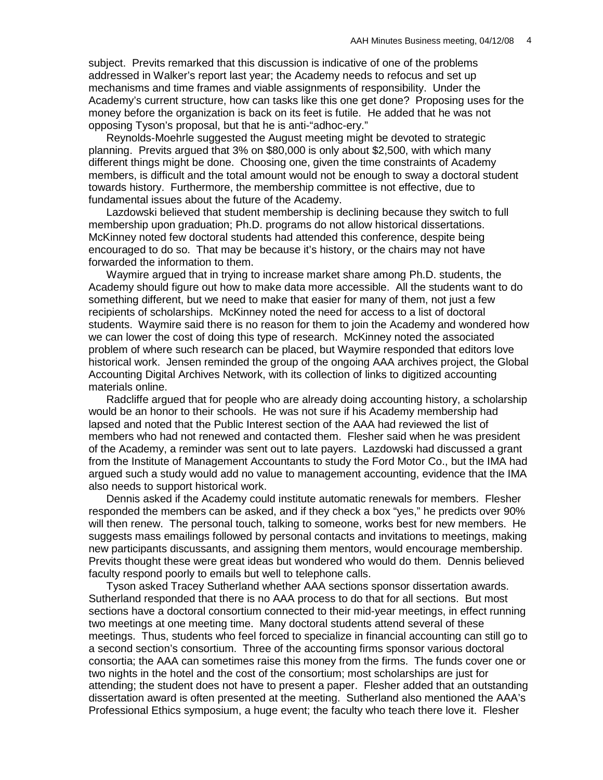subject. Previts remarked that this discussion is indicative of one of the problems addressed in Walker's report last year; the Academy needs to refocus and set up mechanisms and time frames and viable assignments of responsibility. Under the Academy's current structure, how can tasks like this one get done? Proposing uses for the money before the organization is back on its feet is futile. He added that he was not opposing Tyson's proposal, but that he is anti-"adhoc-ery."

Reynolds-Moehrle suggested the August meeting might be devoted to strategic planning. Previts argued that 3% on \$80,000 is only about \$2,500, with which many different things might be done. Choosing one, given the time constraints of Academy members, is difficult and the total amount would not be enough to sway a doctoral student towards history. Furthermore, the membership committee is not effective, due to fundamental issues about the future of the Academy.

Lazdowski believed that student membership is declining because they switch to full membership upon graduation; Ph.D. programs do not allow historical dissertations. McKinney noted few doctoral students had attended this conference, despite being encouraged to do so. That may be because it's history, or the chairs may not have forwarded the information to them.

Waymire argued that in trying to increase market share among Ph.D. students, the Academy should figure out how to make data more accessible. All the students want to do something different, but we need to make that easier for many of them, not just a few recipients of scholarships. McKinney noted the need for access to a list of doctoral students. Waymire said there is no reason for them to join the Academy and wondered how we can lower the cost of doing this type of research. McKinney noted the associated problem of where such research can be placed, but Waymire responded that editors love historical work. Jensen reminded the group of the ongoing AAA archives project, the Global Accounting Digital Archives Network, with its collection of links to digitized accounting materials online.

Radcliffe argued that for people who are already doing accounting history, a scholarship would be an honor to their schools. He was not sure if his Academy membership had lapsed and noted that the Public Interest section of the AAA had reviewed the list of members who had not renewed and contacted them. Flesher said when he was president of the Academy, a reminder was sent out to late payers. Lazdowski had discussed a grant from the Institute of Management Accountants to study the Ford Motor Co., but the IMA had argued such a study would add no value to management accounting, evidence that the IMA also needs to support historical work.

Dennis asked if the Academy could institute automatic renewals for members. Flesher responded the members can be asked, and if they check a box "yes," he predicts over 90% will then renew. The personal touch, talking to someone, works best for new members. He suggests mass emailings followed by personal contacts and invitations to meetings, making new participants discussants, and assigning them mentors, would encourage membership. Previts thought these were great ideas but wondered who would do them. Dennis believed faculty respond poorly to emails but well to telephone calls.

Tyson asked Tracey Sutherland whether AAA sections sponsor dissertation awards. Sutherland responded that there is no AAA process to do that for all sections. But most sections have a doctoral consortium connected to their mid-year meetings, in effect running two meetings at one meeting time. Many doctoral students attend several of these meetings. Thus, students who feel forced to specialize in financial accounting can still go to a second section's consortium. Three of the accounting firms sponsor various doctoral consortia; the AAA can sometimes raise this money from the firms. The funds cover one or two nights in the hotel and the cost of the consortium; most scholarships are just for attending; the student does not have to present a paper. Flesher added that an outstanding dissertation award is often presented at the meeting. Sutherland also mentioned the AAA's Professional Ethics symposium, a huge event; the faculty who teach there love it. Flesher